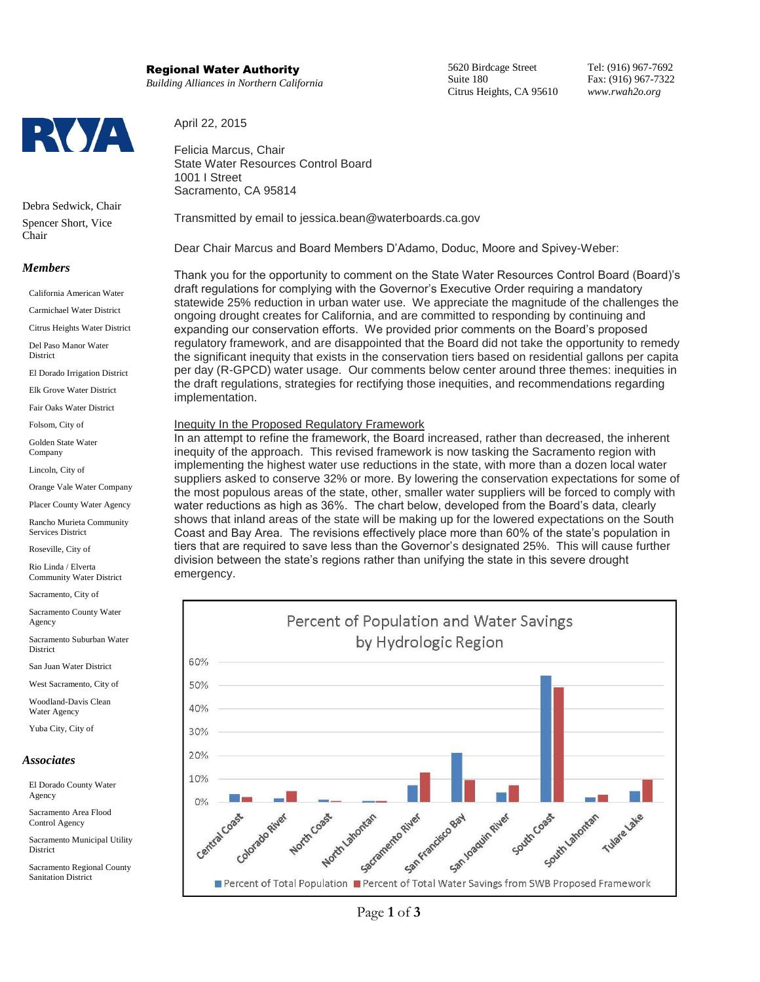# Regional Water Authority

*Building Alliances in Northern California*

April 22, 2015

Felicia Marcus, Chair State Water Resources Control Board 1001 I Street Sacramento, CA 95814

Transmitted by email to jessica.bean@waterboards.ca.gov

Dear Chair Marcus and Board Members D'Adamo, Doduc, Moore and Spivey-Weber:

Thank you for the opportunity to comment on the State Water Resources Control Board (Board)'s draft regulations for complying with the Governor's Executive Order requiring a mandatory statewide 25% reduction in urban water use. We appreciate the magnitude of the challenges the ongoing drought creates for California, and are committed to responding by continuing and expanding our conservation efforts. We provided prior comments on the Board's proposed regulatory framework, and are disappointed that the Board did not take the opportunity to remedy the significant inequity that exists in the conservation tiers based on residential gallons per capita per day (R-GPCD) water usage. Our comments below center around three themes: inequities in the draft regulations, strategies for rectifying those inequities, and recommendations regarding implementation.

### Inequity In the Proposed Regulatory Framework

In an attempt to refine the framework, the Board increased, rather than decreased, the inherent inequity of the approach. This revised framework is now tasking the Sacramento region with implementing the highest water use reductions in the state, with more than a dozen local water suppliers asked to conserve 32% or more. By lowering the conservation expectations for some of the most populous areas of the state, other, smaller water suppliers will be forced to comply with water reductions as high as 36%. The chart below, developed from the Board's data, clearly shows that inland areas of the state will be making up for the lowered expectations on the South Coast and Bay Area. The revisions effectively place more than 60% of the state's population in tiers that are required to save less than the Governor's designated 25%. This will cause further division between the state's regions rather than unifying the state in this severe drought emergency.





Debra Sedwick, Chair Spencer Short, Vice Chair

# *Members*

California American Water

Carmichael Water District

Citrus Heights Water District

Del Paso Manor Water District

El Dorado Irrigation District

Elk Grove Water District

Fair Oaks Water District

Folsom, City of

Golden State Water Company

Lincoln, City of

Orange Vale Water Company

Placer County Water Agency

Rancho Murieta Community Services District

Roseville, City of

Rio Linda / Elverta Community Water District

Sacramento, City of

Sacramento County Water Agency

Sacramento Suburban Water District

San Juan Water District

West Sacramento, City of

Woodland-Davis Clean Water Agency

Yuba City, City of

#### *Associates*

El Dorado County Water Agency

Sacramento Area Flood Control Agency

Sacramento Municipal Utility **District** 

Sacramento Regional County Sanitation District

5620 Birdcage Street Suite 180 Citrus Heights, CA 95610 Tel: (916) 967-7692 Fax: (916) 967-7322 *www.rwah2o.org*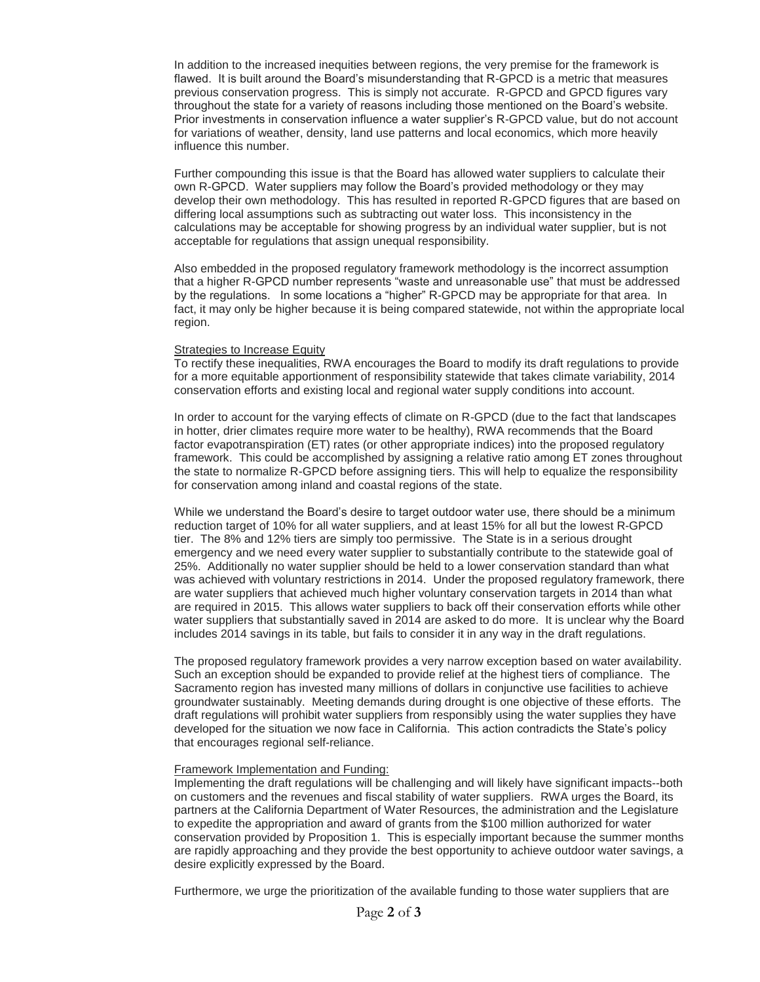In addition to the increased inequities between regions, the very premise for the framework is flawed. It is built around the Board's misunderstanding that R-GPCD is a metric that measures previous conservation progress. This is simply not accurate. R-GPCD and GPCD figures vary throughout the state for a variety of reasons including those mentioned on the Board's website. Prior investments in conservation influence a water supplier's R-GPCD value, but do not account for variations of weather, density, land use patterns and local economics, which more heavily influence this number.

Further compounding this issue is that the Board has allowed water suppliers to calculate their own R-GPCD. Water suppliers may follow the Board's provided methodology or they may develop their own methodology. This has resulted in reported R-GPCD figures that are based on differing local assumptions such as subtracting out water loss. This inconsistency in the calculations may be acceptable for showing progress by an individual water supplier, but is not acceptable for regulations that assign unequal responsibility.

Also embedded in the proposed regulatory framework methodology is the incorrect assumption that a higher R-GPCD number represents "waste and unreasonable use" that must be addressed by the regulations. In some locations a "higher" R-GPCD may be appropriate for that area. In fact, it may only be higher because it is being compared statewide, not within the appropriate local region.

### Strategies to Increase Equity

To rectify these inequalities, RWA encourages the Board to modify its draft regulations to provide for a more equitable apportionment of responsibility statewide that takes climate variability, 2014 conservation efforts and existing local and regional water supply conditions into account.

In order to account for the varying effects of climate on R-GPCD (due to the fact that landscapes in hotter, drier climates require more water to be healthy), RWA recommends that the Board factor evapotranspiration (ET) rates (or other appropriate indices) into the proposed regulatory framework. This could be accomplished by assigning a relative ratio among ET zones throughout the state to normalize R-GPCD before assigning tiers. This will help to equalize the responsibility for conservation among inland and coastal regions of the state.

While we understand the Board's desire to target outdoor water use, there should be a minimum reduction target of 10% for all water suppliers, and at least 15% for all but the lowest R-GPCD tier. The 8% and 12% tiers are simply too permissive. The State is in a serious drought emergency and we need every water supplier to substantially contribute to the statewide goal of 25%. Additionally no water supplier should be held to a lower conservation standard than what was achieved with voluntary restrictions in 2014. Under the proposed regulatory framework, there are water suppliers that achieved much higher voluntary conservation targets in 2014 than what are required in 2015. This allows water suppliers to back off their conservation efforts while other water suppliers that substantially saved in 2014 are asked to do more. It is unclear why the Board includes 2014 savings in its table, but fails to consider it in any way in the draft regulations.

The proposed regulatory framework provides a very narrow exception based on water availability. Such an exception should be expanded to provide relief at the highest tiers of compliance. The Sacramento region has invested many millions of dollars in conjunctive use facilities to achieve groundwater sustainably. Meeting demands during drought is one objective of these efforts. The draft regulations will prohibit water suppliers from responsibly using the water supplies they have developed for the situation we now face in California. This action contradicts the State's policy that encourages regional self-reliance.

## Framework Implementation and Funding:

Implementing the draft regulations will be challenging and will likely have significant impacts--both on customers and the revenues and fiscal stability of water suppliers. RWA urges the Board, its partners at the California Department of Water Resources, the administration and the Legislature to expedite the appropriation and award of grants from the \$100 million authorized for water conservation provided by Proposition 1. This is especially important because the summer months are rapidly approaching and they provide the best opportunity to achieve outdoor water savings, a desire explicitly expressed by the Board.

Furthermore, we urge the prioritization of the available funding to those water suppliers that are